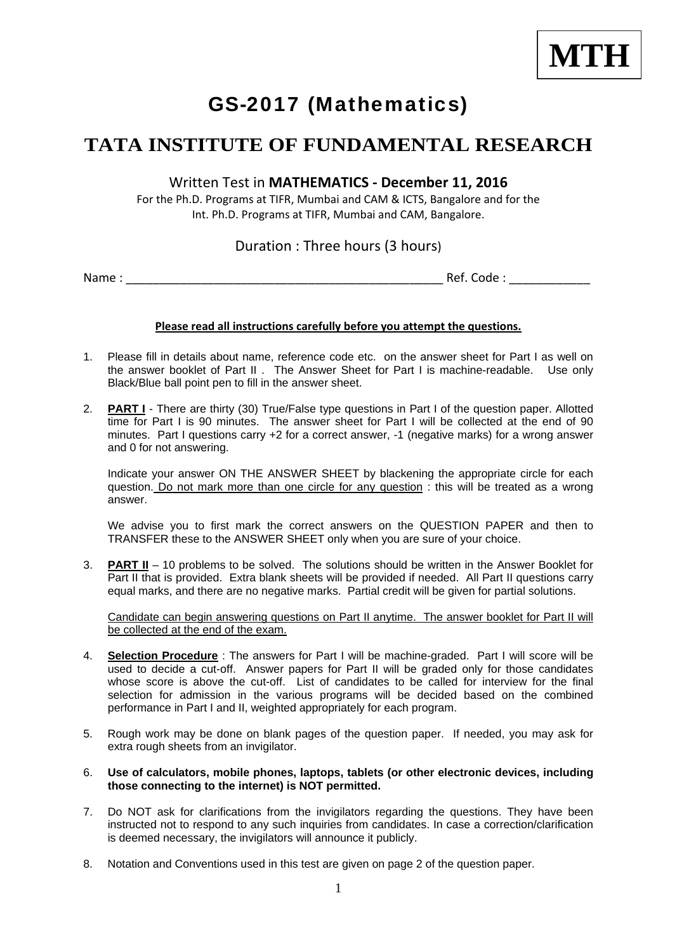

# GS-2017 (Mathematics)

## **TATA INSTITUTE OF FUNDAMENTAL RESEARCH**

#### Written Test in **MATHEMATICS ‐ December 11, 2016**

For the Ph.D. Programs at TIFR, Mumbai and CAM & ICTS, Bangalore and for the Int. Ph.D. Programs at TIFR, Mumbai and CAM, Bangalore.

### Duration : Three hours (3 hours)

Name : \_\_\_\_\_\_\_\_\_\_\_\_\_\_\_\_\_\_\_\_\_\_\_\_\_\_\_\_\_\_\_\_\_\_\_\_\_\_\_\_\_\_\_\_\_\_\_ Ref. Code : \_\_\_\_\_\_\_\_\_\_\_\_

#### **Please read all instructions carefully before you attempt the questions.**

- 1. Please fill in details about name, reference code etc. on the answer sheet for Part I as well on the answer booklet of Part II . The Answer Sheet for Part I is machine-readable. Use only Black/Blue ball point pen to fill in the answer sheet.
- 2. **PART I** There are thirty (30) True/False type questions in Part I of the question paper. Allotted time for Part I is 90 minutes. The answer sheet for Part I will be collected at the end of 90 minutes. Part I questions carry +2 for a correct answer, -1 (negative marks) for a wrong answer and 0 for not answering.

Indicate your answer ON THE ANSWER SHEET by blackening the appropriate circle for each question. Do not mark more than one circle for any question : this will be treated as a wrong answer.

We advise you to first mark the correct answers on the QUESTION PAPER and then to TRANSFER these to the ANSWER SHEET only when you are sure of your choice.

3. **PART II** – 10 problems to be solved. The solutions should be written in the Answer Booklet for Part II that is provided. Extra blank sheets will be provided if needed. All Part II questions carry equal marks, and there are no negative marks. Partial credit will be given for partial solutions.

Candidate can begin answering questions on Part II anytime. The answer booklet for Part II will be collected at the end of the exam.

- 4. **Selection Procedure** : The answers for Part I will be machine-graded. Part I will score will be used to decide a cut-off. Answer papers for Part II will be graded only for those candidates whose score is above the cut-off. List of candidates to be called for interview for the final selection for admission in the various programs will be decided based on the combined performance in Part I and II, weighted appropriately for each program.
- 5. Rough work may be done on blank pages of the question paper. If needed, you may ask for extra rough sheets from an invigilator.
- 6. **Use of calculators, mobile phones, laptops, tablets (or other electronic devices, including those connecting to the internet) is NOT permitted.**
- 7. Do NOT ask for clarifications from the invigilators regarding the questions. They have been instructed not to respond to any such inquiries from candidates. In case a correction/clarification is deemed necessary, the invigilators will announce it publicly.
- 8. Notation and Conventions used in this test are given on page 2 of the question paper.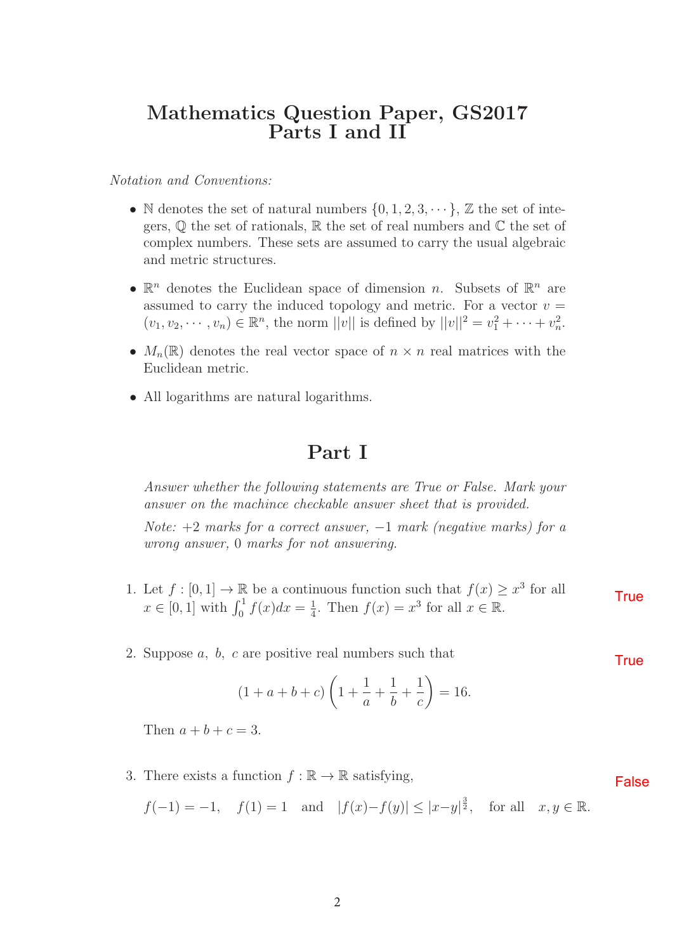### **Mathematics Question Paper, GS2017 Parts I and II**

Notation and Conventions:

- N denotes the set of natural numbers  $\{0, 1, 2, 3, \dots\}$ ,  $\mathbb Z$  the set of integers,  $\mathbb Q$  the set of rationals,  $\mathbb R$  the set of real numbers and  $\mathbb C$  the set of complex numbers. These sets are assumed to carry the usual algebraic and metric structures.
- $\mathbb{R}^n$  denotes the Euclidean space of dimension n. Subsets of  $\mathbb{R}^n$  are assumed to carry the induced topology and metric. For a vector  $v =$  $(v_1, v_2, \dots, v_n) \in \mathbb{R}^n$ , the norm  $||v||$  is defined by  $||v||^2 = v_1^2 + \dots + v_n^2$ .
- $M_n(\mathbb{R})$  denotes the real vector space of  $n \times n$  real matrices with the Euclidean metric.
- All logarithms are natural logarithms.

### **Part I**

Answer whether the following statements are True or False. Mark your answer on the machince checkable answer sheet that is provided.

Note:  $+2$  marks for a correct answer,  $-1$  mark (negative marks) for a wrong answer, 0 marks for not answering.

- 1. Let  $f : [0,1] \to \mathbb{R}$  be a continuous function such that  $f(x) \geq x^3$  for all  $x \in [0, 1]$  with  $\int_0^1 f(x)dx = \frac{1}{4}$ . Then  $f(x) = x^3$  for all  $x \in \mathbb{R}$ . **True**
- 2. Suppose a, b, c are positive real numbers such that

$$
(1 + a + b + c) \left(1 + \frac{1}{a} + \frac{1}{b} + \frac{1}{c}\right) = 16.
$$

Then  $a + b + c = 3$ .

3. There exists a function  $f : \mathbb{R} \to \mathbb{R}$  satisfying,

 $f(-1) = -1$ ,  $f(1) = 1$  and  $|f(x) - f(y)| \le |x - y|^{\frac{3}{2}}$ , for all  $x, y \in \mathbb{R}$ .

**True** 

False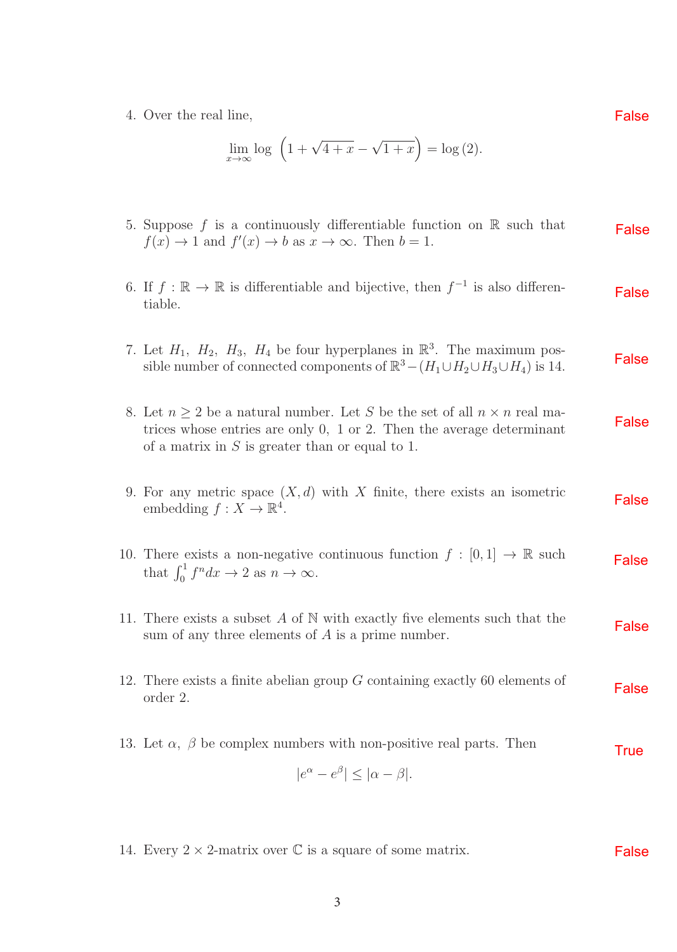4. Over the real line,

$$
\lim_{x \to \infty} \log \left( 1 + \sqrt{4 + x} - \sqrt{1 + x} \right) = \log(2).
$$

| 5. Suppose f is a continuously differentiable function on $\mathbb R$ such that<br>$f(x) \to 1$ and $f'(x) \to b$ as $x \to \infty$ . Then $b = 1$ .                                                                  | False        |
|-----------------------------------------------------------------------------------------------------------------------------------------------------------------------------------------------------------------------|--------------|
| 6. If $f : \mathbb{R} \to \mathbb{R}$ is differentiable and bijective, then $f^{-1}$ is also differen-<br>tiable.                                                                                                     | False        |
| 7. Let $H_1$ , $H_2$ , $H_3$ , $H_4$ be four hyperplanes in $\mathbb{R}^3$ . The maximum pos-<br>sible number of connected components of $\mathbb{R}^3 - (H_1 \cup H_2 \cup H_3 \cup H_4)$ is 14.                     | <b>False</b> |
| 8. Let $n \geq 2$ be a natural number. Let S be the set of all $n \times n$ real ma-<br>trices whose entries are only $0$ , 1 or 2. Then the average determinant<br>of a matrix in $S$ is greater than or equal to 1. | <b>False</b> |
| 9. For any metric space $(X, d)$ with X finite, there exists an isometric<br>embedding $f: X \to \mathbb{R}^4$ .                                                                                                      | <b>False</b> |
| 10. There exists a non-negative continuous function $f : [0,1] \to \mathbb{R}$ such<br>that $\int_0^1 f^n dx \to 2$ as $n \to \infty$ .                                                                               | <b>False</b> |
| 11. There exists a subset $A$ of $N$ with exactly five elements such that the<br>sum of any three elements of $A$ is a prime number.                                                                                  | <b>False</b> |
| 12. There exists a finite abelian group $G$ containing exactly 60 elements of<br>order 2.                                                                                                                             | <b>False</b> |
| 13. Let $\alpha$ , $\beta$ be complex numbers with non-positive real parts. Then<br>$ e^{\alpha}-e^{\beta}  \leq  \alpha-\beta .$                                                                                     | <b>True</b>  |

14. Every  $2 \times 2$ -matrix over  $\mathbb C$  is a square of some matrix. False

False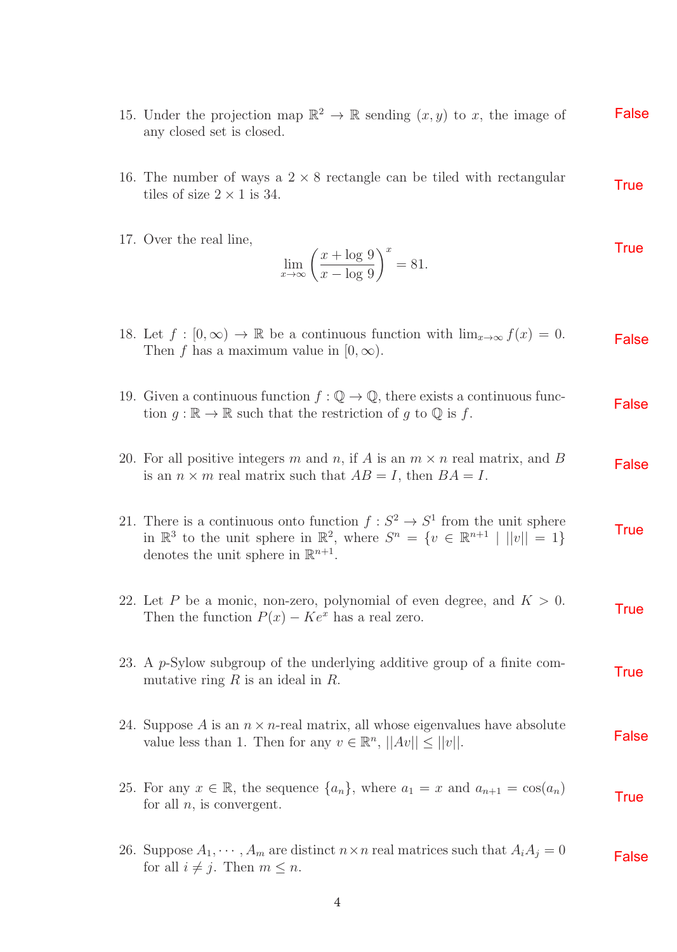- 15. Under the projection map  $\mathbb{R}^2 \to \mathbb{R}$  sending  $(x, y)$  to x, the image of any closed set is closed. False
- 16. The number of ways a  $2 \times 8$  rectangle can be tiled with rectangular tiles of size  $2 \times 1$  is 34. **True**
- 17. Over the real line,

$$
\lim_{x \to \infty} \left( \frac{x + \log 9}{x - \log 9} \right)^x = 81.
$$

| 18. Let $f:[0,\infty)\to\mathbb{R}$ be a continuous function with $\lim_{x\to\infty}f(x)=0$ .<br>Then f has a maximum value in $[0, \infty)$ .                                                                                                       | False        |
|------------------------------------------------------------------------------------------------------------------------------------------------------------------------------------------------------------------------------------------------------|--------------|
| 19. Given a continuous function $f: \mathbb{Q} \to \mathbb{Q}$ , there exists a continuous func-<br>tion $g : \mathbb{R} \to \mathbb{R}$ such that the restriction of g to $\mathbb{Q}$ is f.                                                        | False        |
| 20. For all positive integers m and n, if A is an $m \times n$ real matrix, and B<br>is an $n \times m$ real matrix such that $AB = I$ , then $BA = I$ .                                                                                             | <b>False</b> |
| 21. There is a continuous onto function $f: S^2 \to S^1$ from the unit sphere<br>in $\mathbb{R}^3$ to the unit sphere in $\mathbb{R}^2$ , where $S^n = \{v \in \mathbb{R}^{n+1} \mid   v   = 1\}$<br>denotes the unit sphere in $\mathbb{R}^{n+1}$ . | <b>True</b>  |
| 22. Let P be a monic, non-zero, polynomial of even degree, and $K > 0$ .<br>Then the function $P(x) - Ke^{x}$ has a real zero.                                                                                                                       | <b>True</b>  |
| 23. A $p$ -Sylow subgroup of the underlying additive group of a finite com-<br>mutative ring $R$ is an ideal in $R$ .                                                                                                                                | <b>True</b>  |
| 24. Suppose A is an $n \times n$ -real matrix, all whose eigenvalues have absolute<br>value less than 1. Then for any $v \in \mathbb{R}^n$ , $  Av   \le   v  $ .                                                                                    | <b>False</b> |
| 25. For any $x \in \mathbb{R}$ , the sequence $\{a_n\}$ , where $a_1 = x$ and $a_{n+1} = \cos(a_n)$<br>for all $n$ , is convergent.                                                                                                                  | <b>True</b>  |
| 26. Suppose $A_1, \dots, A_m$ are distinct $n \times n$ real matrices such that $A_i A_j = 0$<br>for all $i \neq j$ . Then $m \leq n$ .                                                                                                              | <b>False</b> |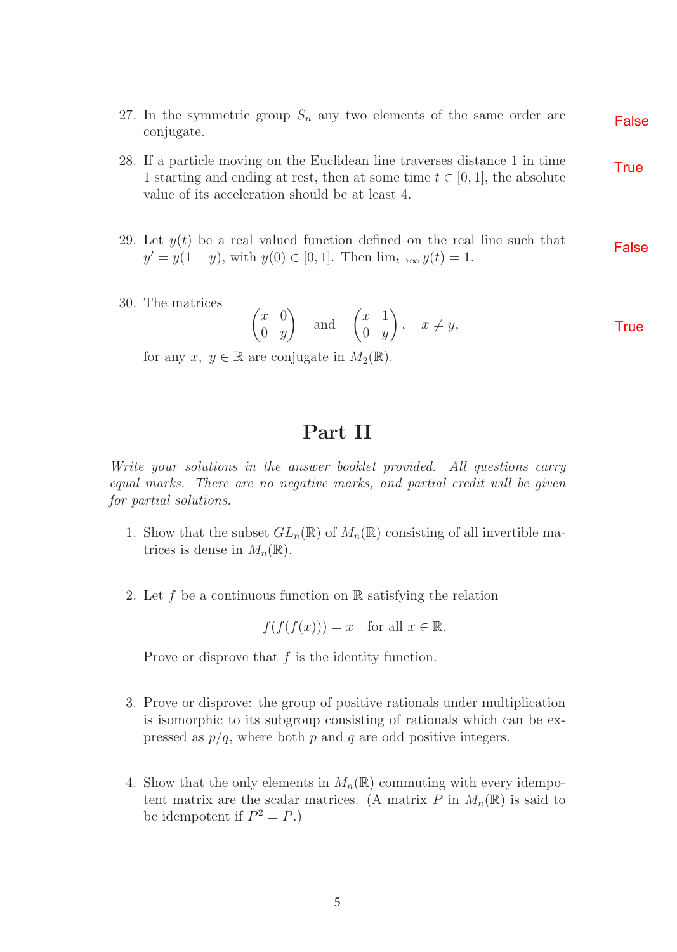- 27. In the symmetric group  $S_n$  any two elements of the same order are conjugate. False
- 28. If a particle moving on the Euclidean line traverses distance 1 in time 1 starting and ending at rest, then at some time  $t \in [0, 1]$ , the absolute value of its acceleration should be at least 4. **True**
- 29. Let  $y(t)$  be a real valued function defined on the real line such that  $y' = y(1 - y)$ , with  $y(0) \in [0, 1]$ . Then  $\lim_{t \to \infty} y(t) = 1$ . False
- 30. The matrices

$$
\begin{pmatrix} x & 0 \\ 0 & y \end{pmatrix} \quad \text{and} \quad \begin{pmatrix} x & 1 \\ 0 & y \end{pmatrix}, \quad x \neq y,
$$

for any  $x, y \in \mathbb{R}$  are conjugate in  $M_2(\mathbb{R})$ .

## **Part II**

Write your solutions in the answer booklet provided. All questions carry equal marks. There are no negative marks, and partial credit will be given for partial solutions.

- 1. Show that the subset  $GL_n(\mathbb{R})$  of  $M_n(\mathbb{R})$  consisting of all invertible matrices is dense in  $M_n(\mathbb{R})$ .
- 2. Let f be a continuous function on  $\mathbb R$  satisfying the relation

$$
f(f(f(x))) = x \text{ for all } x \in \mathbb{R}.
$$

Prove or disprove that  $f$  is the identity function.

- 3. Prove or disprove: the group of positive rationals under multiplication is isomorphic to its subgroup consisting of rationals which can be expressed as  $p/q$ , where both p and q are odd positive integers.
- 4. Show that the only elements in  $M_n(\mathbb{R})$  commuting with every idempotent matrix are the scalar matrices. (A matrix P in  $M_n(\mathbb{R})$  is said to be idempotent if  $P^2 = P$ .)